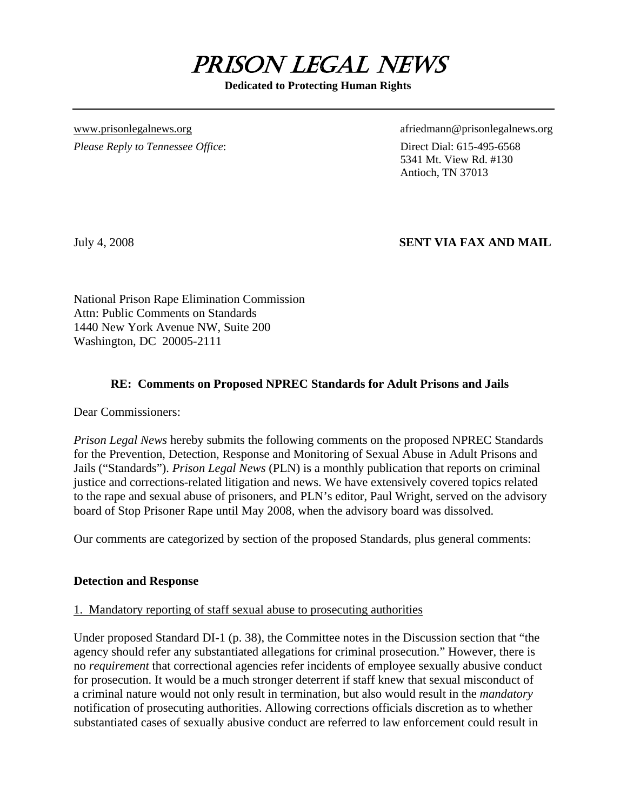

**Dedicated to Protecting Human Rights** 

*Please Reply to Tennessee Office*: Direct Dial: 615-495-6568

[www.prisonlegalnews.org](http://www.prisonlegalnews.org/) afriedmann@prisonlegalnews.org afriedmann@prisonlegalnews.org

 5341 Mt. View Rd. #130 Antioch, TN 37013

# July 4, 2008 **SENT VIA FAX AND MAIL**

National Prison Rape Elimination Commission Attn: Public Comments on Standards 1440 New York Avenue NW, Suite 200 Washington, DC 20005-2111

### **RE: Comments on Proposed NPREC Standards for Adult Prisons and Jails**

Dear Commissioners:

*Prison Legal News* hereby submits the following comments on the proposed NPREC Standards for the Prevention, Detection, Response and Monitoring of Sexual Abuse in Adult Prisons and Jails ("Standards"). *Prison Legal News* (PLN) is a monthly publication that reports on criminal justice and corrections-related litigation and news. We have extensively covered topics related to the rape and sexual abuse of prisoners, and PLN's editor, Paul Wright, served on the advisory board of Stop Prisoner Rape until May 2008, when the advisory board was dissolved.

Our comments are categorized by section of the proposed Standards, plus general comments:

### **Detection and Response**

### 1. Mandatory reporting of staff sexual abuse to prosecuting authorities

Under proposed Standard DI-1 (p. 38), the Committee notes in the Discussion section that "the agency should refer any substantiated allegations for criminal prosecution." However, there is no *requirement* that correctional agencies refer incidents of employee sexually abusive conduct for prosecution. It would be a much stronger deterrent if staff knew that sexual misconduct of a criminal nature would not only result in termination, but also would result in the *mandatory* notification of prosecuting authorities. Allowing corrections officials discretion as to whether substantiated cases of sexually abusive conduct are referred to law enforcement could result in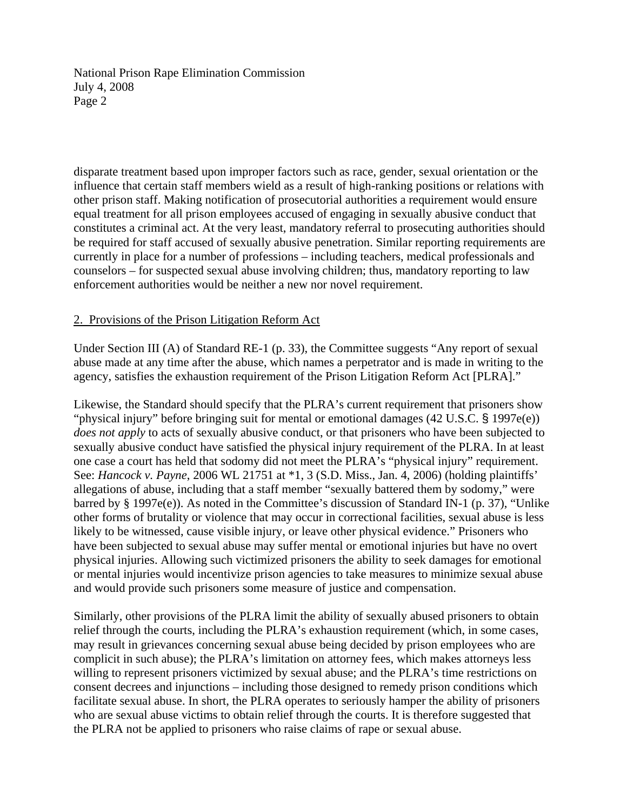disparate treatment based upon improper factors such as race, gender, sexual orientation or the influence that certain staff members wield as a result of high-ranking positions or relations with other prison staff. Making notification of prosecutorial authorities a requirement would ensure equal treatment for all prison employees accused of engaging in sexually abusive conduct that constitutes a criminal act. At the very least, mandatory referral to prosecuting authorities should be required for staff accused of sexually abusive penetration. Similar reporting requirements are currently in place for a number of professions – including teachers, medical professionals and counselors – for suspected sexual abuse involving children; thus, mandatory reporting to law enforcement authorities would be neither a new nor novel requirement.

### 2. Provisions of the Prison Litigation Reform Act

Under Section III (A) of Standard RE-1 (p. 33), the Committee suggests "Any report of sexual abuse made at any time after the abuse, which names a perpetrator and is made in writing to the agency, satisfies the exhaustion requirement of the Prison Litigation Reform Act [PLRA]."

Likewise, the Standard should specify that the PLRA's current requirement that prisoners show "physical injury" before bringing suit for mental or emotional damages (42 U.S.C. § 1997e(e)) *does not apply* to acts of sexually abusive conduct, or that prisoners who have been subjected to sexually abusive conduct have satisfied the physical injury requirement of the PLRA. In at least one case a court has held that sodomy did not meet the PLRA's "physical injury" requirement. See: *Hancock v. Payne*, 2006 WL 21751 at \*1, 3 (S.D. Miss., Jan. 4, 2006) (holding plaintiffs' allegations of abuse, including that a staff member "sexually battered them by sodomy," were barred by § 1997e(e)). As noted in the Committee's discussion of Standard IN-1 (p. 37), "Unlike other forms of brutality or violence that may occur in correctional facilities, sexual abuse is less likely to be witnessed, cause visible injury, or leave other physical evidence." Prisoners who have been subjected to sexual abuse may suffer mental or emotional injuries but have no overt physical injuries. Allowing such victimized prisoners the ability to seek damages for emotional or mental injuries would incentivize prison agencies to take measures to minimize sexual abuse and would provide such prisoners some measure of justice and compensation.

Similarly, other provisions of the PLRA limit the ability of sexually abused prisoners to obtain relief through the courts, including the PLRA's exhaustion requirement (which, in some cases, may result in grievances concerning sexual abuse being decided by prison employees who are complicit in such abuse); the PLRA's limitation on attorney fees, which makes attorneys less willing to represent prisoners victimized by sexual abuse; and the PLRA's time restrictions on consent decrees and injunctions – including those designed to remedy prison conditions which facilitate sexual abuse. In short, the PLRA operates to seriously hamper the ability of prisoners who are sexual abuse victims to obtain relief through the courts. It is therefore suggested that the PLRA not be applied to prisoners who raise claims of rape or sexual abuse.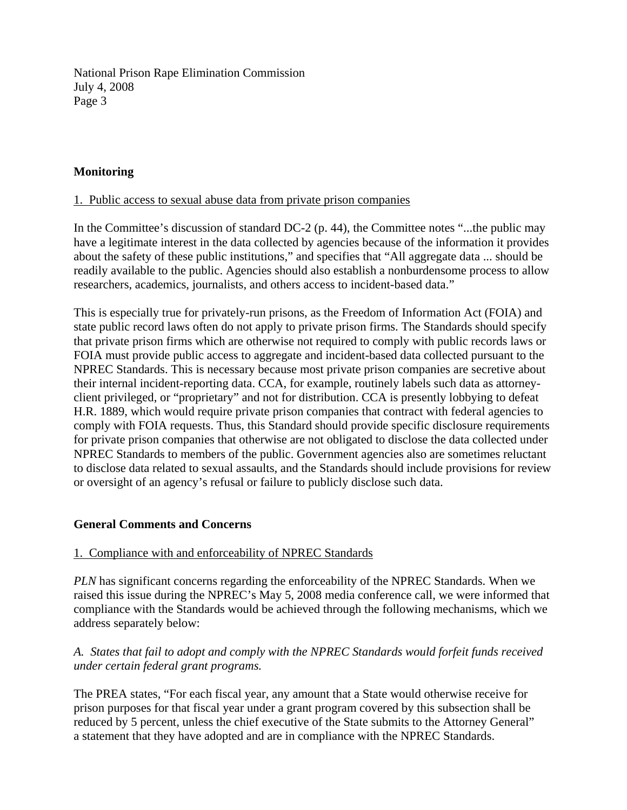## **Monitoring**

#### 1. Public access to sexual abuse data from private prison companies

In the Committee's discussion of standard DC-2 (p. 44), the Committee notes "...the public may have a legitimate interest in the data collected by agencies because of the information it provides about the safety of these public institutions," and specifies that "All aggregate data ... should be readily available to the public. Agencies should also establish a nonburdensome process to allow researchers, academics, journalists, and others access to incident-based data."

This is especially true for privately-run prisons, as the Freedom of Information Act (FOIA) and state public record laws often do not apply to private prison firms. The Standards should specify that private prison firms which are otherwise not required to comply with public records laws or FOIA must provide public access to aggregate and incident-based data collected pursuant to the NPREC Standards. This is necessary because most private prison companies are secretive about their internal incident-reporting data. CCA, for example, routinely labels such data as attorneyclient privileged, or "proprietary" and not for distribution. CCA is presently lobbying to defeat H.R. 1889, which would require private prison companies that contract with federal agencies to comply with FOIA requests. Thus, this Standard should provide specific disclosure requirements for private prison companies that otherwise are not obligated to disclose the data collected under NPREC Standards to members of the public. Government agencies also are sometimes reluctant to disclose data related to sexual assaults, and the Standards should include provisions for review or oversight of an agency's refusal or failure to publicly disclose such data.

### **General Comments and Concerns**

#### 1. Compliance with and enforceability of NPREC Standards

*PLN* has significant concerns regarding the enforceability of the NPREC Standards. When we raised this issue during the NPREC's May 5, 2008 media conference call, we were informed that compliance with the Standards would be achieved through the following mechanisms, which we address separately below:

### *A. States that fail to adopt and comply with the NPREC Standards would forfeit funds received under certain federal grant programs.*

The PREA states, "For each fiscal year, any amount that a State would otherwise receive for prison purposes for that fiscal year under a grant program covered by this subsection shall be reduced by 5 percent, unless the chief executive of the State submits to the Attorney General" a statement that they have adopted and are in compliance with the NPREC Standards.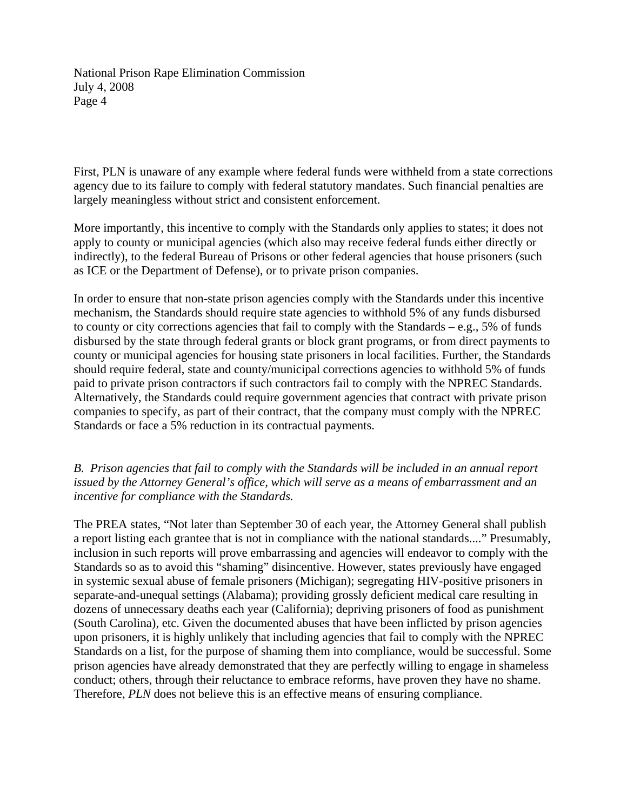First, PLN is unaware of any example where federal funds were withheld from a state corrections agency due to its failure to comply with federal statutory mandates. Such financial penalties are largely meaningless without strict and consistent enforcement.

More importantly, this incentive to comply with the Standards only applies to states; it does not apply to county or municipal agencies (which also may receive federal funds either directly or indirectly), to the federal Bureau of Prisons or other federal agencies that house prisoners (such as ICE or the Department of Defense), or to private prison companies.

In order to ensure that non-state prison agencies comply with the Standards under this incentive mechanism, the Standards should require state agencies to withhold 5% of any funds disbursed to county or city corrections agencies that fail to comply with the Standards – e.g., 5% of funds disbursed by the state through federal grants or block grant programs, or from direct payments to county or municipal agencies for housing state prisoners in local facilities. Further, the Standards should require federal, state and county/municipal corrections agencies to withhold 5% of funds paid to private prison contractors if such contractors fail to comply with the NPREC Standards. Alternatively, the Standards could require government agencies that contract with private prison companies to specify, as part of their contract, that the company must comply with the NPREC Standards or face a 5% reduction in its contractual payments.

## *B. Prison agencies that fail to comply with the Standards will be included in an annual report issued by the Attorney General's office, which will serve as a means of embarrassment and an incentive for compliance with the Standards.*

The PREA states, "Not later than September 30 of each year, the Attorney General shall publish a report listing each grantee that is not in compliance with the national standards...." Presumably, inclusion in such reports will prove embarrassing and agencies will endeavor to comply with the Standards so as to avoid this "shaming" disincentive. However, states previously have engaged in systemic sexual abuse of female prisoners (Michigan); segregating HIV-positive prisoners in separate-and-unequal settings (Alabama); providing grossly deficient medical care resulting in dozens of unnecessary deaths each year (California); depriving prisoners of food as punishment (South Carolina), etc. Given the documented abuses that have been inflicted by prison agencies upon prisoners, it is highly unlikely that including agencies that fail to comply with the NPREC Standards on a list, for the purpose of shaming them into compliance, would be successful. Some prison agencies have already demonstrated that they are perfectly willing to engage in shameless conduct; others, through their reluctance to embrace reforms, have proven they have no shame. Therefore, *PLN* does not believe this is an effective means of ensuring compliance.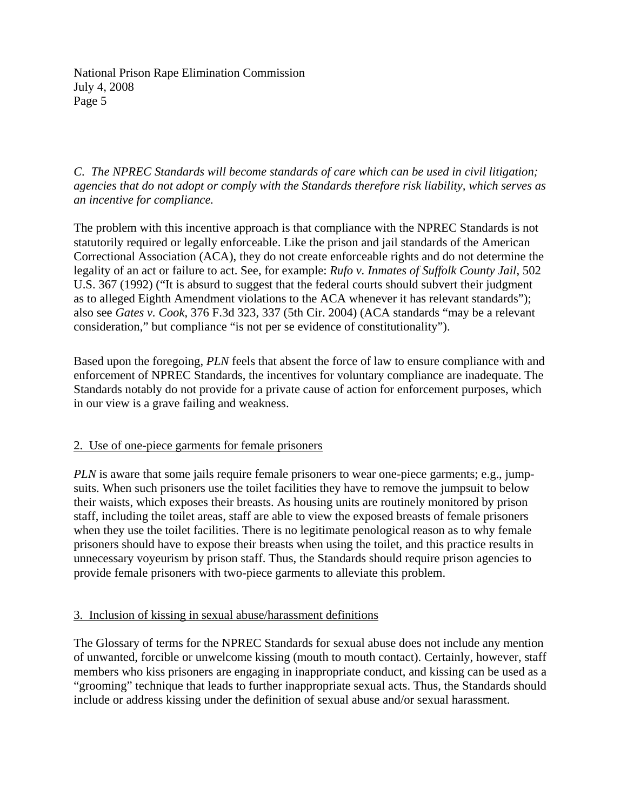*C. The NPREC Standards will become standards of care which can be used in civil litigation; agencies that do not adopt or comply with the Standards therefore risk liability, which serves as an incentive for compliance.* 

The problem with this incentive approach is that compliance with the NPREC Standards is not statutorily required or legally enforceable. Like the prison and jail standards of the American Correctional Association (ACA), they do not create enforceable rights and do not determine the legality of an act or failure to act. See, for example: *Rufo v. Inmates of Suffolk County Jail*, 502 U.S. 367 (1992) ("It is absurd to suggest that the federal courts should subvert their judgment as to alleged Eighth Amendment violations to the ACA whenever it has relevant standards"); also see *Gates v. Cook*, 376 F.3d 323, 337 (5th Cir. 2004) (ACA standards "may be a relevant consideration," but compliance "is not per se evidence of constitutionality").

Based upon the foregoing, *PLN* feels that absent the force of law to ensure compliance with and enforcement of NPREC Standards, the incentives for voluntary compliance are inadequate. The Standards notably do not provide for a private cause of action for enforcement purposes, which in our view is a grave failing and weakness.

### 2. Use of one-piece garments for female prisoners

*PLN* is aware that some jails require female prisoners to wear one-piece garments; e.g., jumpsuits. When such prisoners use the toilet facilities they have to remove the jumpsuit to below their waists, which exposes their breasts. As housing units are routinely monitored by prison staff, including the toilet areas, staff are able to view the exposed breasts of female prisoners when they use the toilet facilities. There is no legitimate penological reason as to why female prisoners should have to expose their breasts when using the toilet, and this practice results in unnecessary voyeurism by prison staff. Thus, the Standards should require prison agencies to provide female prisoners with two-piece garments to alleviate this problem.

### 3. Inclusion of kissing in sexual abuse/harassment definitions

The Glossary of terms for the NPREC Standards for sexual abuse does not include any mention of unwanted, forcible or unwelcome kissing (mouth to mouth contact). Certainly, however, staff members who kiss prisoners are engaging in inappropriate conduct, and kissing can be used as a "grooming" technique that leads to further inappropriate sexual acts. Thus, the Standards should include or address kissing under the definition of sexual abuse and/or sexual harassment.